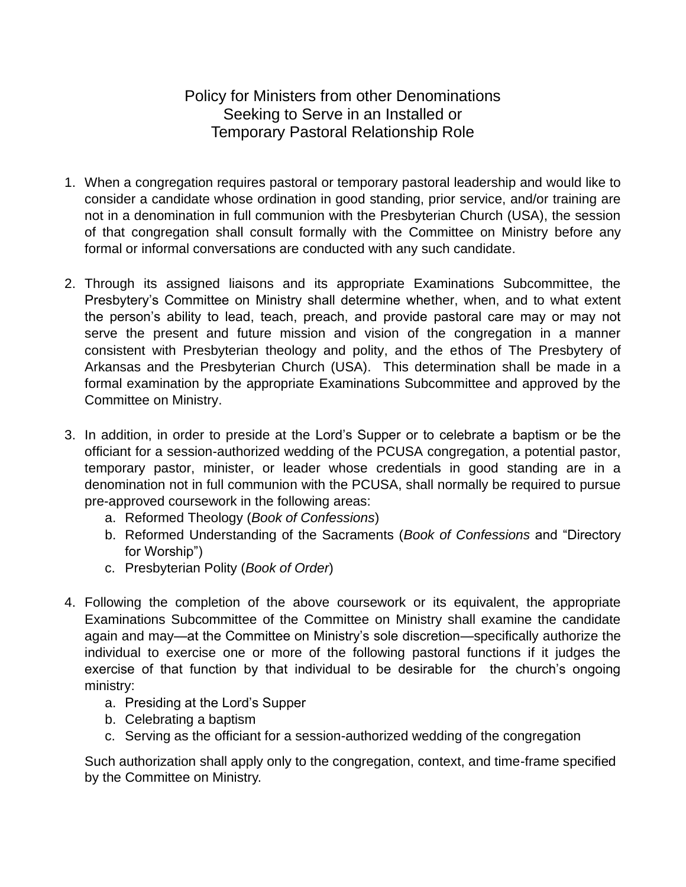## Policy for Ministers from other Denominations Seeking to Serve in an Installed or Temporary Pastoral Relationship Role

- 1. When a congregation requires pastoral or temporary pastoral leadership and would like to consider a candidate whose ordination in good standing, prior service, and/or training are not in a denomination in full communion with the Presbyterian Church (USA), the session of that congregation shall consult formally with the Committee on Ministry before any formal or informal conversations are conducted with any such candidate.
- 2. Through its assigned liaisons and its appropriate Examinations Subcommittee, the Presbytery's Committee on Ministry shall determine whether, when, and to what extent the person's ability to lead, teach, preach, and provide pastoral care may or may not serve the present and future mission and vision of the congregation in a manner consistent with Presbyterian theology and polity, and the ethos of The Presbytery of Arkansas and the Presbyterian Church (USA). This determination shall be made in a formal examination by the appropriate Examinations Subcommittee and approved by the Committee on Ministry.
- 3. In addition, in order to preside at the Lord's Supper or to celebrate a baptism or be the officiant for a session-authorized wedding of the PCUSA congregation, a potential pastor, temporary pastor, minister, or leader whose credentials in good standing are in a denomination not in full communion with the PCUSA, shall normally be required to pursue pre-approved coursework in the following areas:
	- a. Reformed Theology (*Book of Confessions*)
	- b. Reformed Understanding of the Sacraments (*Book of Confessions* and "Directory for Worship")
	- c. Presbyterian Polity (*Book of Order*)
- 4. Following the completion of the above coursework or its equivalent, the appropriate Examinations Subcommittee of the Committee on Ministry shall examine the candidate again and may—at the Committee on Ministry's sole discretion—specifically authorize the individual to exercise one or more of the following pastoral functions if it judges the exercise of that function by that individual to be desirable for the church's ongoing ministry:
	- a. Presiding at the Lord's Supper
	- b. Celebrating a baptism
	- c. Serving as the officiant for a session-authorized wedding of the congregation

Such authorization shall apply only to the congregation, context, and time-frame specified by the Committee on Ministry.